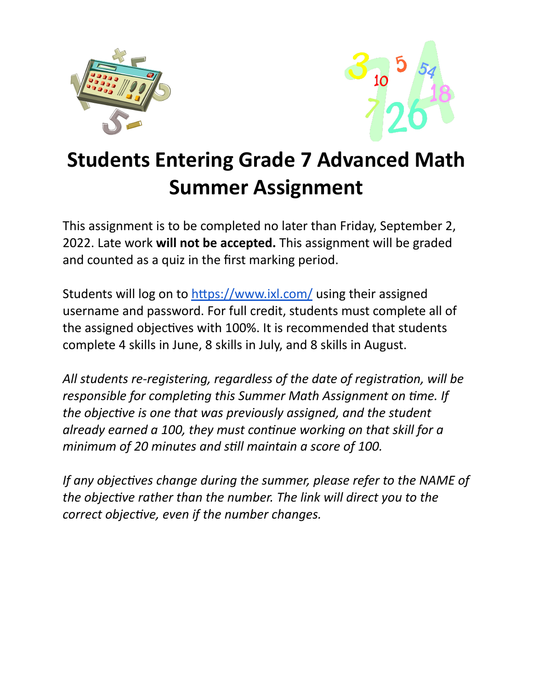



## **Students Entering Grade 7 Advanced Math Summer Assignment**

This assignment is to be completed no later than Friday, September 2, 2022. Late work **will not be accepted.** This assignment will be graded and counted as a quiz in the first marking period.

Students will log on to https://www.ixl.com/ using their assigned username and password. For full credit, students must complete all of the assigned objectives with 100%. It is recommended that students complete 4 skills in June, 8 skills in July, and 8 skills in August.

All students re-registering, regardless of the date of registration, will be *responsible for completing this Summer Math Assignment on time. If the objective is one that was previously assigned,* and *the student already earned a 100, they must connue working on that skill for a minimum of 20 minutes and sll maintain a score of 100.*

*If any objectives change during the summer, please refer to the NAME of the objective rather than the number. The link will direct you to the correct objective, even if the number changes.*